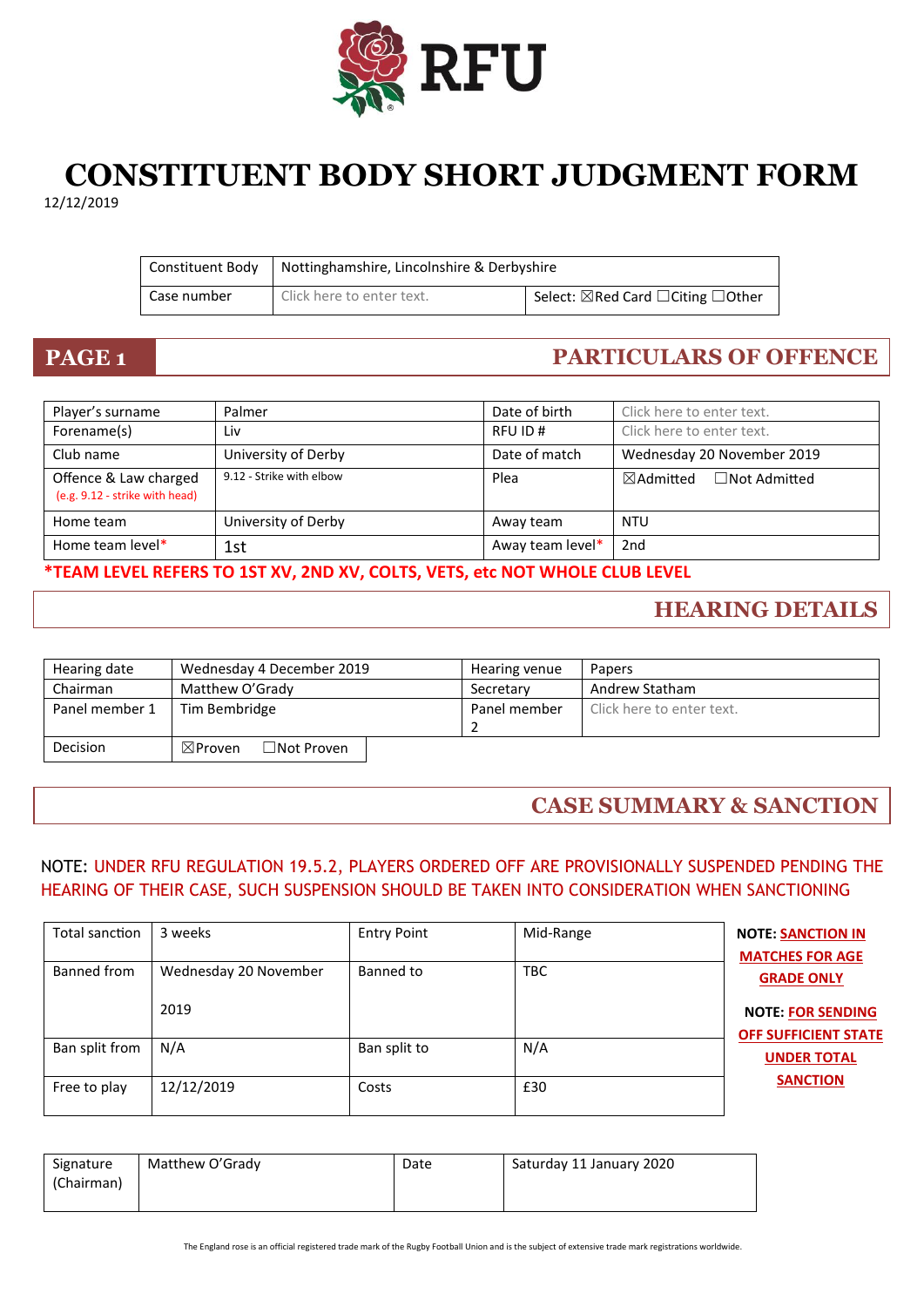

## **CONSTITUENT BODY SHORT JUDGMENT FORM** 12/12/2019

|             | Constituent Body   Nottinghamshire, Lincolnshire & Derbyshire |                                                         |
|-------------|---------------------------------------------------------------|---------------------------------------------------------|
| Case number | Click here to enter text.                                     | Select: $\boxtimes$ Red Card $\Box$ Citing $\Box$ Other |

## **PAGE 1 PARTICULARS OF OFFENCE**

| Player's surname                                        | Palmer                   | Date of birth    | Click here to enter text.                   |
|---------------------------------------------------------|--------------------------|------------------|---------------------------------------------|
| Forename(s)                                             | Liv                      | RFU ID#          | Click here to enter text.                   |
| Club name                                               | University of Derby      | Date of match    | Wednesday 20 November 2019                  |
| Offence & Law charged<br>(e.g. 9.12 - strike with head) | 9.12 - Strike with elbow | Plea             | $\boxtimes$ Admitted<br>$\Box$ Not Admitted |
| Home team                                               | University of Derby      | Away team        | <b>NTU</b>                                  |
| Home team level*                                        | 1st                      | Away team level* | 2nd                                         |

**\*TEAM LEVEL REFERS TO 1ST XV, 2ND XV, COLTS, VETS, etc NOT WHOLE CLUB LEVEL**

## **HEARING DETAILS**

| Hearing date   | Wednesday 4 December 2019               | Hearing venue | Papers                    |
|----------------|-----------------------------------------|---------------|---------------------------|
| Chairman       | Matthew O'Grady                         | Secretary     | Andrew Statham            |
| Panel member 1 | Tim Bembridge                           | Panel member  | Click here to enter text. |
|                |                                         |               |                           |
| Decision       | $\Box$ Not Proven<br>$\boxtimes$ Proven |               |                           |

## **CASE SUMMARY & SANCTION**

### NOTE: UNDER RFU REGULATION 19.5.2, PLAYERS ORDERED OFF ARE PROVISIONALLY SUSPENDED PENDING THE HEARING OF THEIR CASE, SUCH SUSPENSION SHOULD BE TAKEN INTO CONSIDERATION WHEN SANCTIONING

| Total sanction | 3 weeks               | <b>Entry Point</b> | Mid-Range  | <b>NOTE: SANCTION IN</b><br><b>MATCHES FOR AGE</b>      |
|----------------|-----------------------|--------------------|------------|---------------------------------------------------------|
| Banned from    | Wednesday 20 November | Banned to          | <b>TBC</b> | <b>GRADE ONLY</b>                                       |
|                | 2019                  |                    |            | <b>NOTE: FOR SENDING</b><br><b>OFF SUFFICIENT STATE</b> |
| Ban split from | N/A                   | Ban split to       | N/A        | <b>UNDER TOTAL</b>                                      |
| Free to play   | 12/12/2019            | Costs              | £30        | <b>SANCTION</b>                                         |

| Signature  | Matthew O'Grady | Date | Saturday 11 January 2020 |
|------------|-----------------|------|--------------------------|
| (Chairman) |                 |      |                          |
|            |                 |      |                          |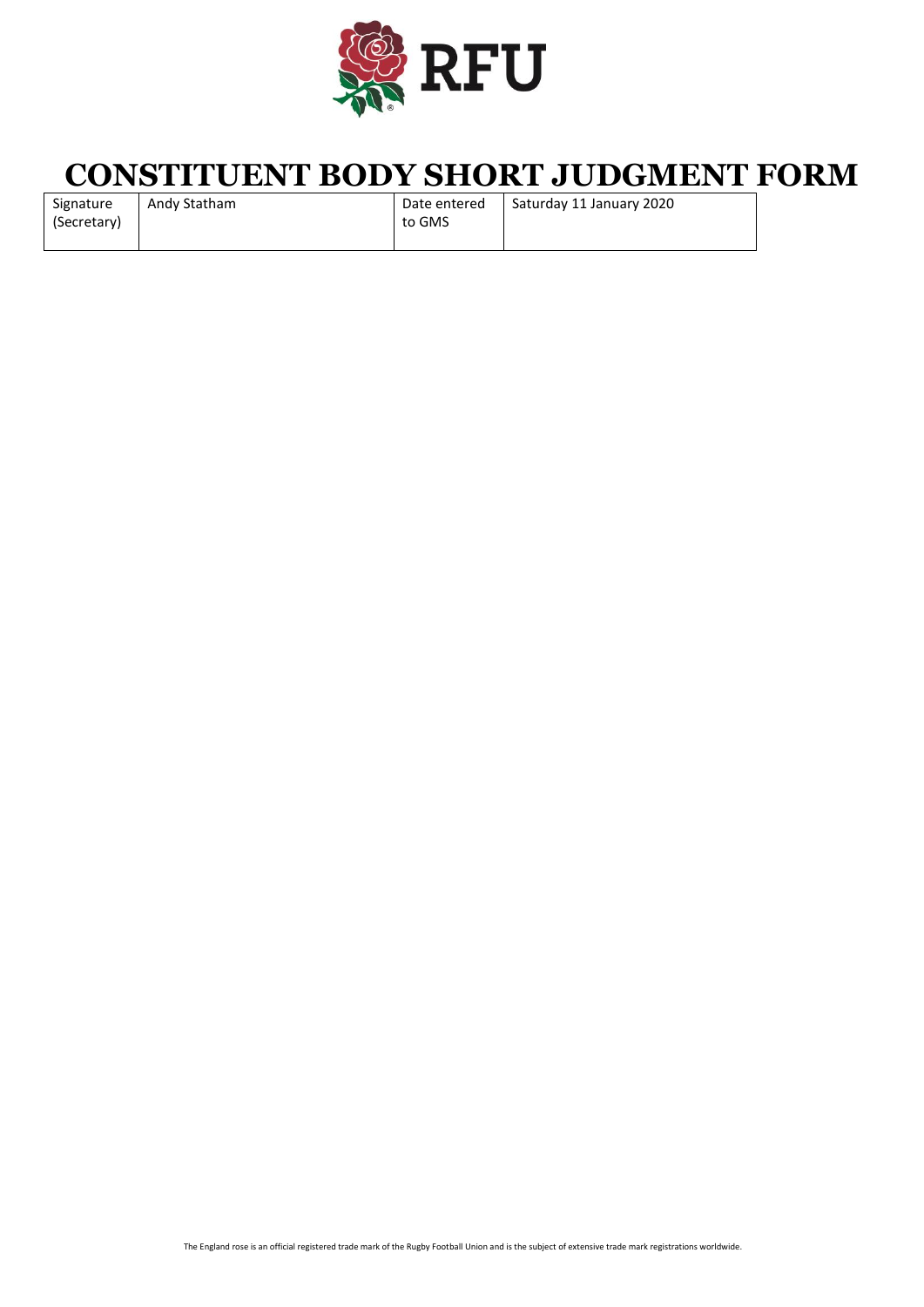

# **CONSTITUENT BODY SHORT JUDGMENT FORM**

| Signature   | Andy Statham | Date entered | Saturday 11 January 2020 |
|-------------|--------------|--------------|--------------------------|
| (Secretary) |              | to GMS       |                          |
|             |              |              |                          |

The England rose is an official registered trade mark of the Rugby Football Union and is the subject of extensive trade mark registrations worldwide.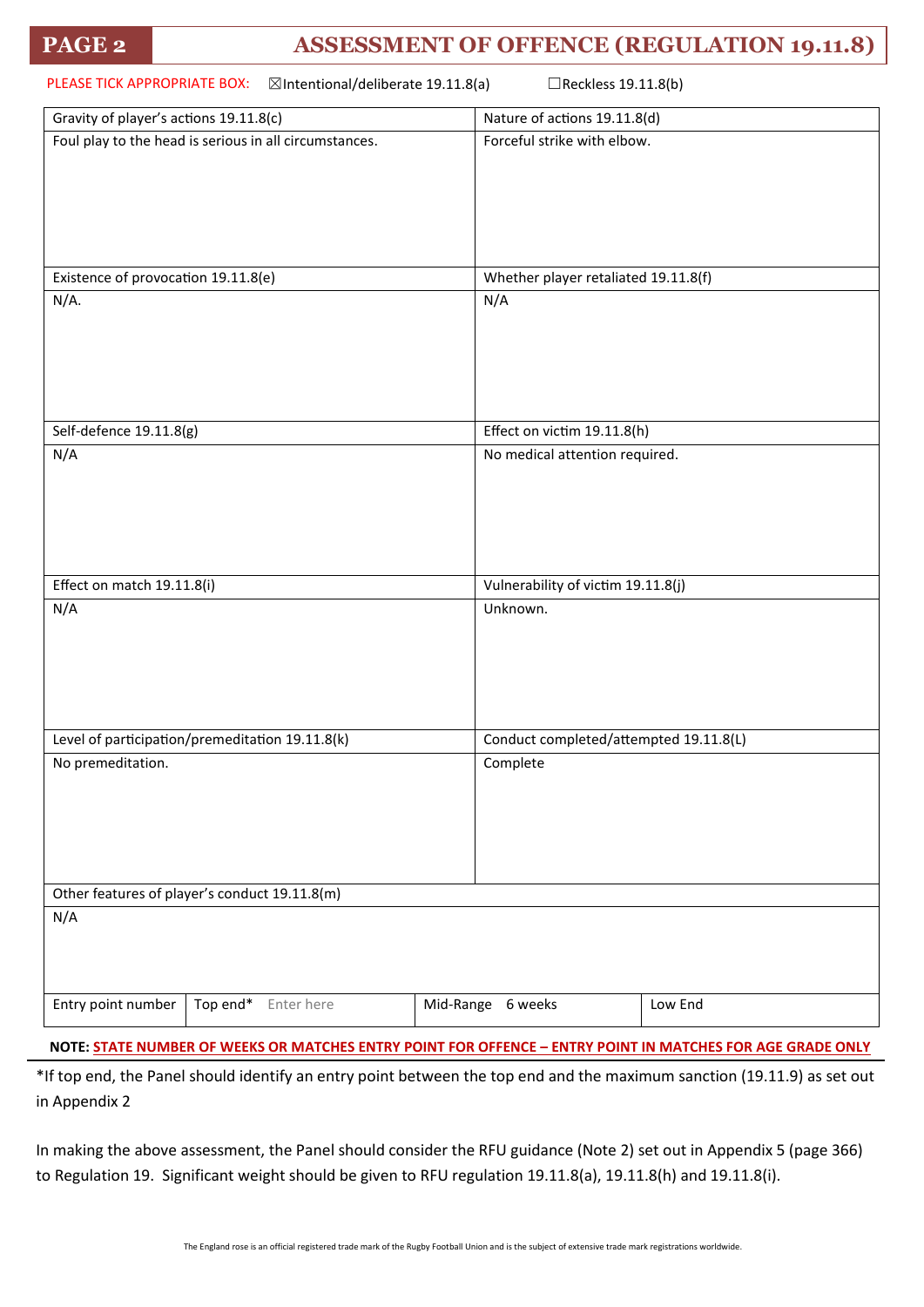| PLEASE TICK APPROPRIATE BOX:<br>⊠Intentional/deliberate 19.11.8(a)<br>□Reckless 19.11.8(b) |                                                        |  |                                        |         |  |
|--------------------------------------------------------------------------------------------|--------------------------------------------------------|--|----------------------------------------|---------|--|
| Gravity of player's actions 19.11.8(c)                                                     |                                                        |  | Nature of actions 19.11.8(d)           |         |  |
|                                                                                            | Foul play to the head is serious in all circumstances. |  | Forceful strike with elbow.            |         |  |
| Existence of provocation 19.11.8(e)                                                        |                                                        |  | Whether player retaliated 19.11.8(f)   |         |  |
| $N/A$ .                                                                                    |                                                        |  | N/A                                    |         |  |
| Self-defence 19.11.8(g)                                                                    |                                                        |  | Effect on victim 19.11.8(h)            |         |  |
| N/A                                                                                        |                                                        |  | No medical attention required.         |         |  |
| Effect on match 19.11.8(i)                                                                 |                                                        |  | Vulnerability of victim 19.11.8(j)     |         |  |
| N/A                                                                                        |                                                        |  | Unknown.                               |         |  |
| Level of participation/premeditation 19.11.8(k)                                            |                                                        |  | Conduct completed/attempted 19.11.8(L) |         |  |
| No premeditation.                                                                          |                                                        |  | Complete                               |         |  |
|                                                                                            | Other features of player's conduct 19.11.8(m)          |  |                                        |         |  |
| N/A                                                                                        |                                                        |  |                                        |         |  |
| Entry point number                                                                         | Top end*<br>Enter here                                 |  | Mid-Range 6 weeks                      | Low End |  |

**NOTE: STATE NUMBER OF WEEKS OR MATCHES ENTRY POINT FOR OFFENCE – ENTRY POINT IN MATCHES FOR AGE GRADE ONLY**

\*If top end, the Panel should identify an entry point between the top end and the maximum sanction (19.11.9) as set out in Appendix 2

In making the above assessment, the Panel should consider the RFU guidance (Note 2) set out in Appendix 5 (page 366) to Regulation 19. Significant weight should be given to RFU regulation 19.11.8(a), 19.11.8(h) and 19.11.8(i).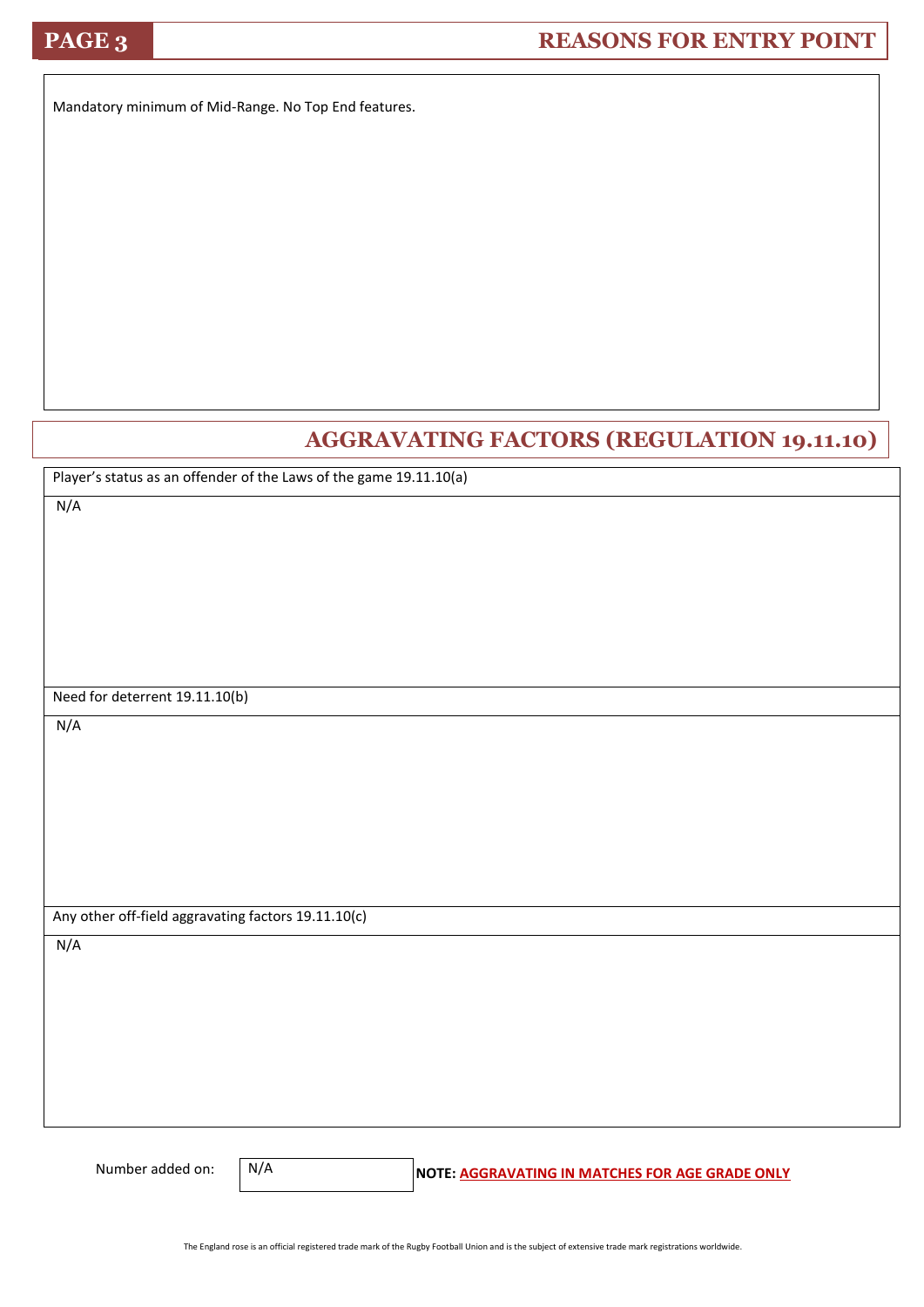## **PAGE 3 REASONS FOR ENTRY POINT**

Mandatory minimum of Mid-Range. No Top End features.

## **AGGRAVATING FACTORS (REGULATION 19.11.10)**

Player's status as an offender of the Laws of the game 19.11.10(a)

N/A

Need for deterrent 19.11.10(b)

N/A

Any other off-field aggravating factors 19.11.10(c)

N/A

N/A

Number added on: **N/A** NOTE: **AGGRAVATING IN MATCHES FOR AGE GRADE ONLY**